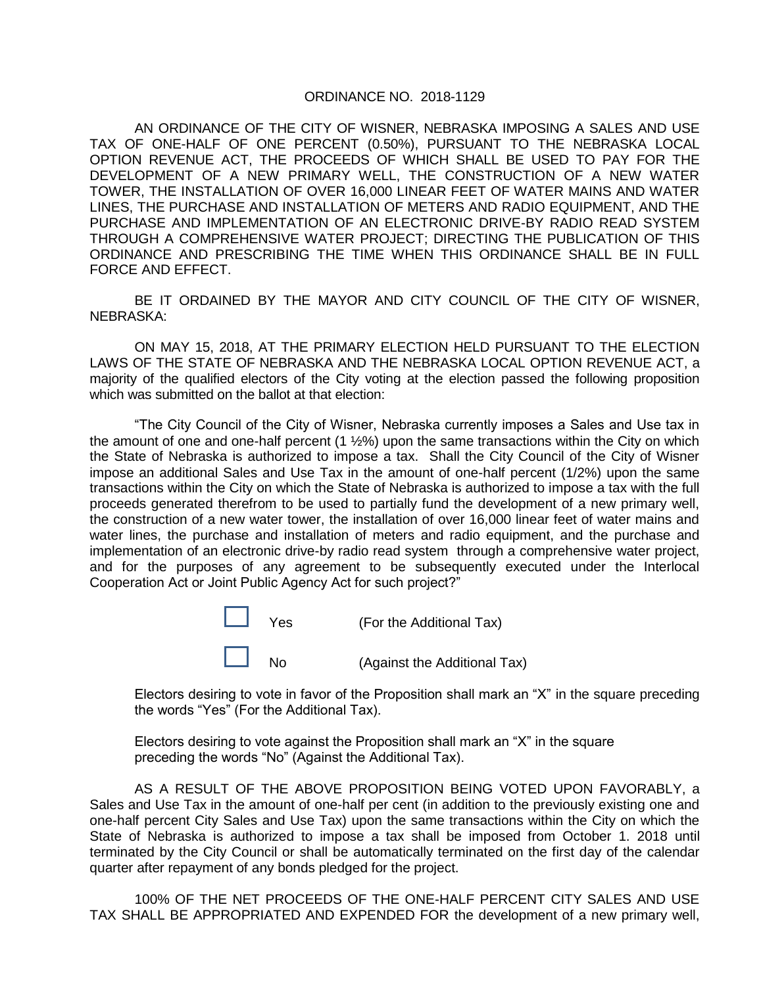## ORDINANCE NO. 2018-1129

AN ORDINANCE OF THE CITY OF WISNER, NEBRASKA IMPOSING A SALES AND USE TAX OF ONE-HALF OF ONE PERCENT (0.50%), PURSUANT TO THE NEBRASKA LOCAL OPTION REVENUE ACT, THE PROCEEDS OF WHICH SHALL BE USED TO PAY FOR THE DEVELOPMENT OF A NEW PRIMARY WELL, THE CONSTRUCTION OF A NEW WATER TOWER, THE INSTALLATION OF OVER 16,000 LINEAR FEET OF WATER MAINS AND WATER LINES, THE PURCHASE AND INSTALLATION OF METERS AND RADIO EQUIPMENT, AND THE PURCHASE AND IMPLEMENTATION OF AN ELECTRONIC DRIVE-BY RADIO READ SYSTEM THROUGH A COMPREHENSIVE WATER PROJECT; DIRECTING THE PUBLICATION OF THIS ORDINANCE AND PRESCRIBING THE TIME WHEN THIS ORDINANCE SHALL BE IN FULL FORCE AND EFFECT.

BE IT ORDAINED BY THE MAYOR AND CITY COUNCIL OF THE CITY OF WISNER, NEBRASKA:

ON MAY 15, 2018, AT THE PRIMARY ELECTION HELD PURSUANT TO THE ELECTION LAWS OF THE STATE OF NEBRASKA AND THE NEBRASKA LOCAL OPTION REVENUE ACT, a majority of the qualified electors of the City voting at the election passed the following proposition which was submitted on the ballot at that election:

"The City Council of the City of Wisner, Nebraska currently imposes a Sales and Use tax in the amount of one and one-half percent (1 ½%) upon the same transactions within the City on which the State of Nebraska is authorized to impose a tax. Shall the City Council of the City of Wisner impose an additional Sales and Use Tax in the amount of one-half percent (1/2%) upon the same transactions within the City on which the State of Nebraska is authorized to impose a tax with the full proceeds generated therefrom to be used to partially fund the development of a new primary well, the construction of a new water tower, the installation of over 16,000 linear feet of water mains and water lines, the purchase and installation of meters and radio equipment, and the purchase and implementation of an electronic drive-by radio read system through a comprehensive water project, and for the purposes of any agreement to be subsequently executed under the Interlocal Cooperation Act or Joint Public Agency Act for such project?"

| $\Box$ Yes |                | (For the Additional Tax)     |
|------------|----------------|------------------------------|
|            | N <sub>o</sub> | (Against the Additional Tax) |

Electors desiring to vote in favor of the Proposition shall mark an "X" in the square preceding the words "Yes" (For the Additional Tax).

Electors desiring to vote against the Proposition shall mark an "X" in the square preceding the words "No" (Against the Additional Tax).

AS A RESULT OF THE ABOVE PROPOSITION BEING VOTED UPON FAVORABLY, a Sales and Use Tax in the amount of one-half per cent (in addition to the previously existing one and one-half percent City Sales and Use Tax) upon the same transactions within the City on which the State of Nebraska is authorized to impose a tax shall be imposed from October 1. 2018 until terminated by the City Council or shall be automatically terminated on the first day of the calendar quarter after repayment of any bonds pledged for the project.

100% OF THE NET PROCEEDS OF THE ONE-HALF PERCENT CITY SALES AND USE TAX SHALL BE APPROPRIATED AND EXPENDED FOR the development of a new primary well,